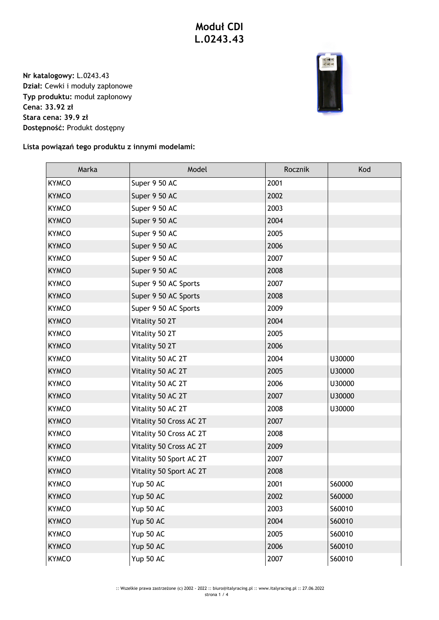## **Moduł CDI L.0243.43**

**Nr katalogowy:** L.0243.43 **Dział:** Cewki i moduły zapłonowe **Typ produktu:** moduł zapłonowy **Cena: 33.92 zł Stara cena: 39.9 zł Dostępność:** Produkt dostępny



**Lista powiązań tego produktu z innymi modelami:**

| Marka        | Model                   | Rocznik | Kod    |
|--------------|-------------------------|---------|--------|
| <b>KYMCO</b> | Super 9 50 AC           | 2001    |        |
| <b>KYMCO</b> | Super 9 50 AC           | 2002    |        |
| <b>KYMCO</b> | Super 9 50 AC           | 2003    |        |
| <b>KYMCO</b> | Super 9 50 AC           | 2004    |        |
| <b>KYMCO</b> | Super 9 50 AC           | 2005    |        |
| <b>KYMCO</b> | Super 9 50 AC           | 2006    |        |
| <b>KYMCO</b> | Super 9 50 AC           | 2007    |        |
| <b>KYMCO</b> | Super 9 50 AC           | 2008    |        |
| <b>KYMCO</b> | Super 9 50 AC Sports    | 2007    |        |
| <b>KYMCO</b> | Super 9 50 AC Sports    | 2008    |        |
| <b>KYMCO</b> | Super 9 50 AC Sports    | 2009    |        |
| <b>KYMCO</b> | Vitality 50 2T          | 2004    |        |
| <b>KYMCO</b> | Vitality 50 2T          | 2005    |        |
| <b>KYMCO</b> | Vitality 50 2T          | 2006    |        |
| <b>KYMCO</b> | Vitality 50 AC 2T       | 2004    | U30000 |
| <b>KYMCO</b> | Vitality 50 AC 2T       | 2005    | U30000 |
| <b>KYMCO</b> | Vitality 50 AC 2T       | 2006    | U30000 |
| <b>KYMCO</b> | Vitality 50 AC 2T       | 2007    | U30000 |
| <b>KYMCO</b> | Vitality 50 AC 2T       | 2008    | U30000 |
| <b>KYMCO</b> | Vitality 50 Cross AC 2T | 2007    |        |
| <b>KYMCO</b> | Vitality 50 Cross AC 2T | 2008    |        |
| <b>KYMCO</b> | Vitality 50 Cross AC 2T | 2009    |        |
| <b>KYMCO</b> | Vitality 50 Sport AC 2T | 2007    |        |
| <b>KYMCO</b> | Vitality 50 Sport AC 2T | 2008    |        |
| <b>KYMCO</b> | Yup 50 AC               | 2001    | S60000 |
| <b>KYMCO</b> | Yup 50 AC               | 2002    | S60000 |
| <b>KYMCO</b> | Yup 50 AC               | 2003    | S60010 |
| <b>KYMCO</b> | Yup 50 AC               | 2004    | S60010 |
| <b>KYMCO</b> | Yup 50 AC               | 2005    | S60010 |
| <b>KYMCO</b> | Yup 50 AC               | 2006    | S60010 |
| <b>KYMCO</b> | Yup 50 AC               | 2007    | S60010 |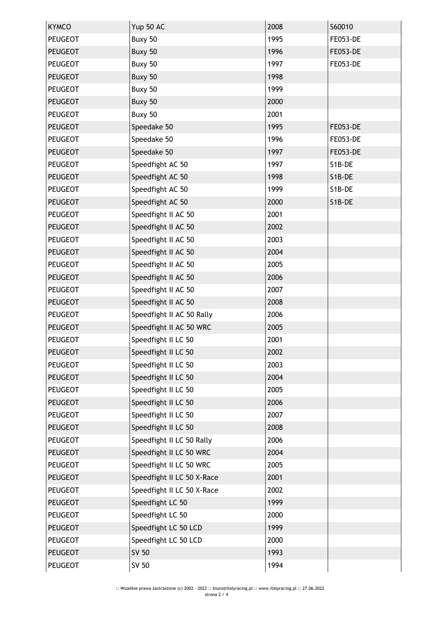| <b>KYMCO</b>   | Yup 50 AC                  | 2008 | S60010          |
|----------------|----------------------------|------|-----------------|
| <b>PEUGEOT</b> | Buxy 50                    | 1995 | <b>FE053-DE</b> |
| <b>PEUGEOT</b> | Buxy 50                    | 1996 | <b>FE053-DE</b> |
| <b>PEUGEOT</b> | Buxy 50                    | 1997 | <b>FE053-DE</b> |
| <b>PEUGEOT</b> | Buxy 50                    | 1998 |                 |
| <b>PEUGEOT</b> | Buxy 50                    | 1999 |                 |
| <b>PEUGEOT</b> | Buxy 50                    | 2000 |                 |
| <b>PEUGEOT</b> | Buxy 50                    | 2001 |                 |
| <b>PEUGEOT</b> | Speedake 50                | 1995 | <b>FE053-DE</b> |
| <b>PEUGEOT</b> | Speedake 50                | 1996 | <b>FE053-DE</b> |
| <b>PEUGEOT</b> | Speedake 50                | 1997 | <b>FE053-DE</b> |
| <b>PEUGEOT</b> | Speedfight AC 50           | 1997 | S1B-DE          |
| <b>PEUGEOT</b> | Speedfight AC 50           | 1998 | S1B-DE          |
| <b>PEUGEOT</b> | Speedfight AC 50           | 1999 | S1B-DE          |
| <b>PEUGEOT</b> | Speedfight AC 50           | 2000 | S1B-DE          |
| <b>PEUGEOT</b> | Speedfight II AC 50        | 2001 |                 |
| <b>PEUGEOT</b> | Speedfight II AC 50        | 2002 |                 |
| <b>PEUGEOT</b> | Speedfight II AC 50        | 2003 |                 |
| <b>PEUGEOT</b> | Speedfight II AC 50        | 2004 |                 |
| <b>PEUGEOT</b> | Speedfight II AC 50        | 2005 |                 |
| <b>PEUGEOT</b> | Speedfight II AC 50        | 2006 |                 |
| <b>PEUGEOT</b> | Speedfight II AC 50        | 2007 |                 |
| <b>PEUGEOT</b> | Speedfight II AC 50        | 2008 |                 |
| <b>PEUGEOT</b> | Speedfight II AC 50 Rally  | 2006 |                 |
| <b>PEUGEOT</b> | Speedfight II AC 50 WRC    | 2005 |                 |
| <b>PEUGEOT</b> | Speedfight II LC 50        | 2001 |                 |
| <b>PEUGEOT</b> | Speedfight II LC 50        | 2002 |                 |
| <b>PEUGEOT</b> | Speedfight II LC 50        | 2003 |                 |
| <b>PEUGEOT</b> | Speedfight II LC 50        | 2004 |                 |
| PEUGEOT        | Speedfight II LC 50        | 2005 |                 |
| <b>PEUGEOT</b> | Speedfight II LC 50        | 2006 |                 |
| <b>PEUGEOT</b> | Speedfight II LC 50        | 2007 |                 |
| <b>PEUGEOT</b> | Speedfight II LC 50        | 2008 |                 |
| <b>PEUGEOT</b> | Speedfight II LC 50 Rally  | 2006 |                 |
| <b>PEUGEOT</b> | Speedfight II LC 50 WRC    | 2004 |                 |
| PEUGEOT        | Speedfight II LC 50 WRC    | 2005 |                 |
| <b>PEUGEOT</b> | Speedfight II LC 50 X-Race | 2001 |                 |
| <b>PEUGEOT</b> | Speedfight II LC 50 X-Race | 2002 |                 |
| <b>PEUGEOT</b> | Speedfight LC 50           | 1999 |                 |
| <b>PEUGEOT</b> | Speedfight LC 50           | 2000 |                 |
| <b>PEUGEOT</b> | Speedfight LC 50 LCD       | 1999 |                 |
| <b>PEUGEOT</b> | Speedfight LC 50 LCD       | 2000 |                 |
| <b>PEUGEOT</b> | SV 50                      | 1993 |                 |
| <b>PEUGEOT</b> | SV 50                      | 1994 |                 |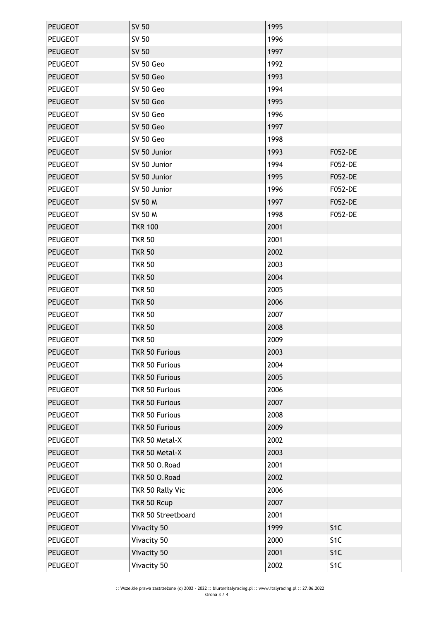| <b>PEUGEOT</b> | SV 50                 | 1995 |                  |
|----------------|-----------------------|------|------------------|
| <b>PEUGEOT</b> | SV 50                 | 1996 |                  |
| <b>PEUGEOT</b> | SV 50                 | 1997 |                  |
| <b>PEUGEOT</b> | SV 50 Geo             | 1992 |                  |
| <b>PEUGEOT</b> | SV 50 Geo             | 1993 |                  |
| <b>PEUGEOT</b> | SV 50 Geo             | 1994 |                  |
| <b>PEUGEOT</b> | SV 50 Geo             | 1995 |                  |
| <b>PEUGEOT</b> | SV 50 Geo             | 1996 |                  |
| <b>PEUGEOT</b> | SV 50 Geo             | 1997 |                  |
| <b>PEUGEOT</b> | SV 50 Geo             | 1998 |                  |
| <b>PEUGEOT</b> | SV 50 Junior          | 1993 | F052-DE          |
| <b>PEUGEOT</b> | SV 50 Junior          | 1994 | F052-DE          |
| <b>PEUGEOT</b> | SV 50 Junior          | 1995 | F052-DE          |
| <b>PEUGEOT</b> | SV 50 Junior          | 1996 | F052-DE          |
| <b>PEUGEOT</b> | SV 50 M               | 1997 | F052-DE          |
| <b>PEUGEOT</b> | SV 50 M               | 1998 | F052-DE          |
| <b>PEUGEOT</b> | <b>TKR 100</b>        | 2001 |                  |
| PEUGEOT        | <b>TKR 50</b>         | 2001 |                  |
| <b>PEUGEOT</b> | <b>TKR 50</b>         | 2002 |                  |
| <b>PEUGEOT</b> | <b>TKR 50</b>         | 2003 |                  |
| <b>PEUGEOT</b> | <b>TKR 50</b>         | 2004 |                  |
| PEUGEOT        | <b>TKR 50</b>         | 2005 |                  |
| <b>PEUGEOT</b> | <b>TKR 50</b>         | 2006 |                  |
| <b>PEUGEOT</b> | <b>TKR 50</b>         | 2007 |                  |
| <b>PEUGEOT</b> | <b>TKR 50</b>         | 2008 |                  |
| <b>PEUGEOT</b> | <b>TKR 50</b>         | 2009 |                  |
| <b>PEUGEOT</b> | <b>TKR 50 Furious</b> | 2003 |                  |
| PEUGEOT        | <b>TKR 50 Furious</b> | 2004 |                  |
| <b>PEUGEOT</b> | <b>TKR 50 Furious</b> | 2005 |                  |
| PEUGEOT        | <b>TKR 50 Furious</b> | 2006 |                  |
| <b>PEUGEOT</b> | <b>TKR 50 Furious</b> | 2007 |                  |
| <b>PEUGEOT</b> | <b>TKR 50 Furious</b> | 2008 |                  |
| <b>PEUGEOT</b> | <b>TKR 50 Furious</b> | 2009 |                  |
| <b>PEUGEOT</b> | TKR 50 Metal-X        | 2002 |                  |
| <b>PEUGEOT</b> | TKR 50 Metal-X        | 2003 |                  |
| PEUGEOT        | TKR 50 O.Road         | 2001 |                  |
| <b>PEUGEOT</b> | TKR 50 O.Road         | 2002 |                  |
| PEUGEOT        | TKR 50 Rally Vic      | 2006 |                  |
| <b>PEUGEOT</b> | TKR 50 Rcup           | 2007 |                  |
| <b>PEUGEOT</b> | TKR 50 Streetboard    | 2001 |                  |
| <b>PEUGEOT</b> | Vivacity 50           | 1999 | S <sub>1C</sub>  |
| PEUGEOT        | Vivacity 50           | 2000 | S <sub>1C</sub>  |
| <b>PEUGEOT</b> | Vivacity 50           | 2001 | S <sub>1</sub> C |
| <b>PEUGEOT</b> | Vivacity 50           | 2002 | S <sub>1</sub> C |